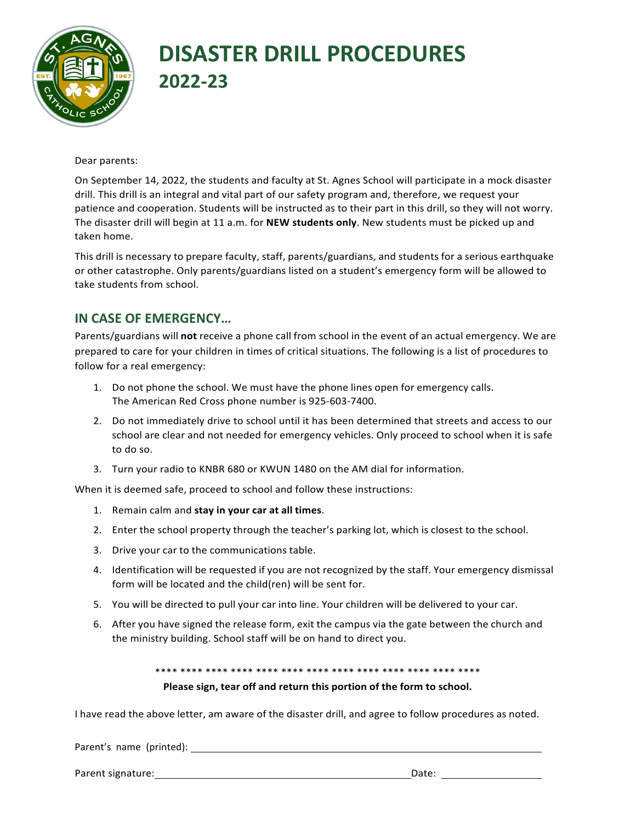

## **DISASTER DRILL PROCEDURES 2022-23**

Dear parents:

On September 14, 2022, the students and faculty at St. Agnes School will participate in a mock disaster drill. This drill is an integral and vital part of our safety program and, therefore, we request your patience and cooperation. Students will be instructed as to their part in this drill, so they will not worry. The disaster drill will begin at 11 a.m. for NEW students only. New students must be picked up and taken home. 

This drill is necessary to prepare faculty, staff, parents/guardians, and students for a serious earthquake or other catastrophe. Only parents/guardians listed on a student's emergency form will be allowed to take students from school.

## **IN CASE OF EMERGENCY...**

Parents/guardians will **not** receive a phone call from school in the event of an actual emergency. We are prepared to care for your children in times of critical situations. The following is a list of procedures to follow for a real emergency:

- 1. Do not phone the school. We must have the phone lines open for emergency calls. The American Red Cross phone number is 925-603-7400.
- 2. Do not immediately drive to school until it has been determined that streets and access to our school are clear and not needed for emergency vehicles. Only proceed to school when it is safe to do so.
- 3. Turn your radio to KNBR 680 or KWUN 1480 on the AM dial for information.

When it is deemed safe, proceed to school and follow these instructions:

- 1. Remain calm and **stay in your car at all times**.
- 2. Enter the school property through the teacher's parking lot, which is closest to the school.
- 3. Drive your car to the communications table.
- 4. Identification will be requested if you are not recognized by the staff. Your emergency dismissal form will be located and the child(ren) will be sent for.
- 5. You will be directed to pull your car into line. Your children will be delivered to your car.
- 6. After you have signed the release form, exit the campus via the gate between the church and the ministry building. School staff will be on hand to direct you.

\*\*\*\* \*\*\*\* \*\*\*\* \*\*\*\* \*\*\*\* \*\*\*\* \*\*\*\* \*\*\*\* \*\*\*\* \*\*\*\* \*\*\*\* \*\*\*\* \*\*\*\*

## **Please sign, tear off and return this portion of the form to school.**

I have read the above letter, am aware of the disaster drill, and agree to follow procedures as noted.

Parent's name (printed):

Parent signature: Date: